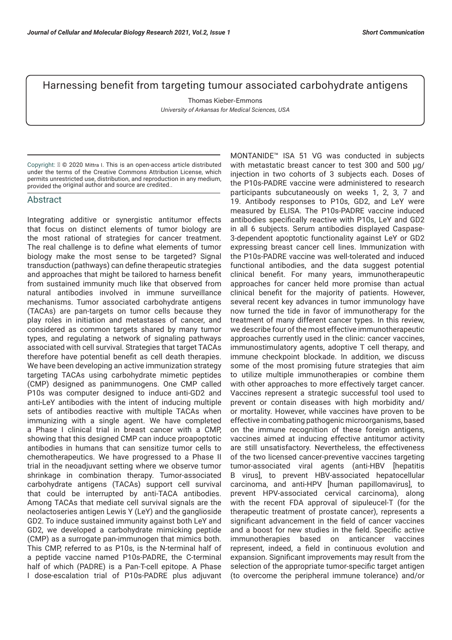## Harnessing benefit from targeting tumour associated carbohydrate antigens

Thomas Kieber-Emmons *University of Arkansas for Medical Sciences, USA*

Copyright:  $\mathbb{N} \odot$  2020 Mittra I. This is an open-access article distributed under the terms of the Creative Commons Attribution License, which permits unrestricted use, distribution, and reproduction in any medium, provided the original author and source are credited..

## Abstract

Integrating additive or synergistic antitumor effects that focus on distinct elements of tumor biology are the most rational of strategies for cancer treatment. The real challenge is to define what elements of tumor biology make the most sense to be targeted? Signal transduction (pathways) can define therapeutic strategies and approaches that might be tailored to harness benefit from sustained immunity much like that observed from natural antibodies involved in immune surveillance mechanisms. Tumor associated carbohydrate antigens (TACAs) are pan-targets on tumor cells because they play roles in initiation and metastases of cancer, and considered as common targets shared by many tumor types, and regulating a network of signaling pathways associated with cell survival. Strategies that target TACAs therefore have potential benefit as cell death therapies. We have been developing an active immunization strategy targeting TACAs using carbohydrate mimetic peptides (CMP) designed as panimmunogens. One CMP called P10s was computer designed to induce anti-GD2 and anti-LeY antibodies with the intent of inducing multiple sets of antibodies reactive with multiple TACAs when immunizing with a single agent. We have completed a Phase I clinical trial in breast cancer with a CMP, showing that this designed CMP can induce proapoptotic antibodies in humans that can sensitize tumor cells to chemotherapeutics. We have progressed to a Phase II trial in the neoadjuvant setting where we observe tumor shrinkage in combination therapy. Tumor-associated carbohydrate antigens (TACAs) support cell survival that could be interrupted by anti-TACA antibodies. Among TACAs that mediate cell survival signals are the neolactoseries antigen Lewis Y (LeY) and the ganglioside GD2. To induce sustained immunity against both LeY and GD2, we developed a carbohydrate mimicking peptide (CMP) as a surrogate pan-immunogen that mimics both. This CMP, referred to as P10s, is the N-terminal half of a peptide vaccine named P10s-PADRE, the C-terminal half of which (PADRE) is a Pan-T-cell epitope. A Phase I dose-escalation trial of P10s-PADRE plus adjuvant

MONTANIDE™ ISA 51 VG was conducted in subjects with metastatic breast cancer to test 300 and 500 μg/ injection in two cohorts of 3 subjects each. Doses of the P10s-PADRE vaccine were administered to research participants subcutaneously on weeks 1, 2, 3, 7 and 19. Antibody responses to P10s, GD2, and LeY were measured by ELISA. The P10s-PADRE vaccine induced antibodies specifically reactive with P10s, LeY and GD2 in all 6 subjects. Serum antibodies displayed Caspase-3-dependent apoptotic functionality against LeY or GD2 expressing breast cancer cell lines. Immunization with the P10s-PADRE vaccine was well-tolerated and induced functional antibodies, and the data suggest potential clinical benefit. For many years, immunotherapeutic approaches for cancer held more promise than actual clinical benefit for the majority of patients. However, several recent key advances in tumor immunology have now turned the tide in favor of immunotherapy for the treatment of many different cancer types. In this review, we describe four of the most effective immunotherapeutic approaches currently used in the clinic: cancer vaccines, immunostimulatory agents, adoptive T cell therapy, and immune checkpoint blockade. In addition, we discuss some of the most promising future strategies that aim to utilize multiple immunotherapies or combine them with other approaches to more effectively target cancer. Vaccines represent a strategic successful tool used to prevent or contain diseases with high morbidity and/ or mortality. However, while vaccines have proven to be effective in combating pathogenic microorganisms, based on the immune recognition of these foreign antigens, vaccines aimed at inducing effective antitumor activity are still unsatisfactory. Nevertheless, the effectiveness of the two licensed cancer-preventive vaccines targeting tumor-associated viral agents (anti-HBV [hepatitis B virus], to prevent HBV-associated hepatocellular carcinoma, and anti-HPV [human papillomavirus], to prevent HPV-associated cervical carcinoma), along with the recent FDA approval of sipuleucel-T (for the therapeutic treatment of prostate cancer), represents a significant advancement in the field of cancer vaccines and a boost for new studies in the field. Specific active immunotherapies based on anticancer vaccines represent, indeed, a field in continuous evolution and expansion. Significant improvements may result from the selection of the appropriate tumor-specific target antigen (to overcome the peripheral immune tolerance) and/or